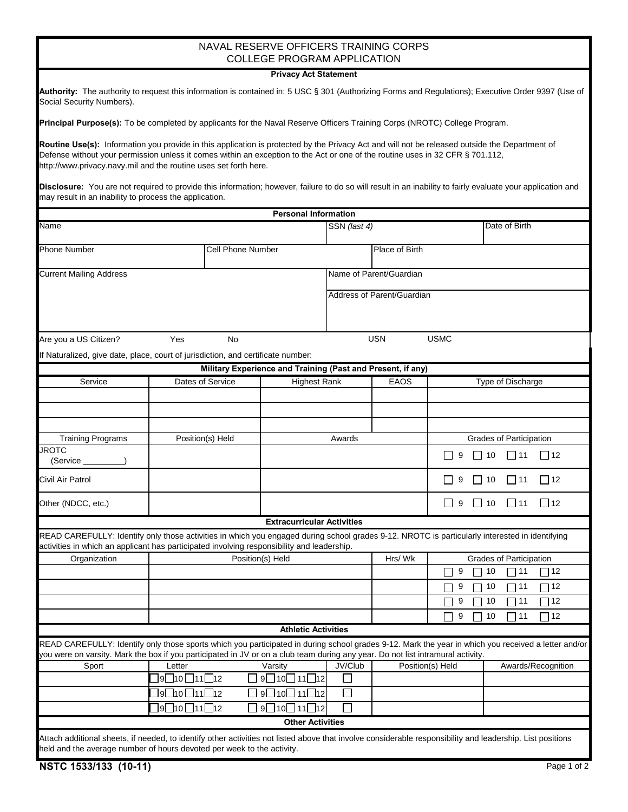## NAVAL RESERVE OFFICERS TRAINING CORPS COLLEGE PROGRAM APPLICATION

## **Privacy Act Statement**

|                           | Authority: The authority to request this information is contained in: 5 USC § 301 (Authorizing Forms and Regulations); Executive Order 9397 (Use of |  |  |  |  |  |
|---------------------------|-----------------------------------------------------------------------------------------------------------------------------------------------------|--|--|--|--|--|
| Social Security Numbers). |                                                                                                                                                     |  |  |  |  |  |

**Principal Purpose(s):** To be completed by applicants for the Naval Reserve Officers Training Corps (NROTC) College Program.

**Routine Use(s):** Information you provide in this application is protected by the Privacy Act and will not be released outside the Department of Defense without your permission unless it comes within an exception to the Act or one of the routine uses in 32 CFR § 701.112, http://www.privacy.navy.mil and the routine uses set forth here.

**Disclosure:** You are not required to provide this information; however, failure to do so will result in an inability to fairly evaluate your application and may result in an inability to process the application.

|                                                                                                                                                                                                                                              |                                          |                                         | <b>Personal Information</b>                                                                                    |              |                            |             |                                |                    |  |  |
|----------------------------------------------------------------------------------------------------------------------------------------------------------------------------------------------------------------------------------------------|------------------------------------------|-----------------------------------------|----------------------------------------------------------------------------------------------------------------|--------------|----------------------------|-------------|--------------------------------|--------------------|--|--|
| <b>Name</b>                                                                                                                                                                                                                                  |                                          |                                         |                                                                                                                | SSN (last 4) |                            |             | Date of Birth                  |                    |  |  |
| <b>Phone Number</b>                                                                                                                                                                                                                          |                                          |                                         | Cell Phone Number                                                                                              |              | Place of Birth             |             |                                |                    |  |  |
| <b>Current Mailing Address</b>                                                                                                                                                                                                               |                                          |                                         |                                                                                                                |              | Name of Parent/Guardian    |             |                                |                    |  |  |
|                                                                                                                                                                                                                                              |                                          |                                         |                                                                                                                |              | Address of Parent/Guardian |             |                                |                    |  |  |
|                                                                                                                                                                                                                                              |                                          |                                         |                                                                                                                |              |                            |             |                                |                    |  |  |
| Are you a US Citizen?                                                                                                                                                                                                                        | Yes                                      | No                                      |                                                                                                                |              | <b>USN</b>                 | <b>USMC</b> |                                |                    |  |  |
| If Naturalized, give date, place, court of jurisdiction, and certificate number:                                                                                                                                                             |                                          |                                         |                                                                                                                |              |                            |             |                                |                    |  |  |
|                                                                                                                                                                                                                                              |                                          |                                         | Military Experience and Training (Past and Present, if any)                                                    |              |                            |             |                                |                    |  |  |
| Service                                                                                                                                                                                                                                      |                                          | Dates of Service<br><b>Highest Rank</b> |                                                                                                                |              | <b>EAOS</b>                |             | Type of Discharge              |                    |  |  |
|                                                                                                                                                                                                                                              |                                          |                                         |                                                                                                                |              |                            |             |                                |                    |  |  |
|                                                                                                                                                                                                                                              |                                          |                                         |                                                                                                                |              |                            |             |                                |                    |  |  |
|                                                                                                                                                                                                                                              |                                          |                                         |                                                                                                                |              |                            |             |                                |                    |  |  |
| <b>Training Programs</b>                                                                                                                                                                                                                     |                                          | Position(s) Held                        |                                                                                                                |              | Awards                     |             | Grades of Participation        |                    |  |  |
| <b>JROTC</b><br>(Service _______                                                                                                                                                                                                             |                                          |                                         |                                                                                                                |              |                            | 9           | 10<br>■ 11                     | $\Box$ 12          |  |  |
| Civil Air Patrol                                                                                                                                                                                                                             |                                          |                                         |                                                                                                                |              |                            | 9           | $\vert$   10<br> 11            | 12                 |  |  |
| Other (NDCC, etc.)                                                                                                                                                                                                                           |                                          |                                         |                                                                                                                |              |                            | 9           | $\Box$ 10<br>$\overline{111}$  | $\Box$ 12          |  |  |
|                                                                                                                                                                                                                                              |                                          |                                         | <b>Extracurricular Activities</b>                                                                              |              |                            |             |                                |                    |  |  |
| READ CAREFULLY: Identify only those activities in which you engaged during school grades 9-12. NROTC is particularly interested in identifying<br>activities in which an applicant has participated involving responsibility and leadership. |                                          |                                         |                                                                                                                |              |                            |             |                                |                    |  |  |
| Organization                                                                                                                                                                                                                                 |                                          |                                         | Position(s) Held                                                                                               |              | Hrs/Wk                     |             | <b>Grades of Participation</b> |                    |  |  |
|                                                                                                                                                                                                                                              |                                          |                                         |                                                                                                                |              |                            | 9<br>П      | 10<br>11                       | $\Box$ 12          |  |  |
|                                                                                                                                                                                                                                              |                                          |                                         |                                                                                                                |              |                            | 9           | 10<br>111                      | $\Box$ 12          |  |  |
|                                                                                                                                                                                                                                              |                                          |                                         |                                                                                                                |              |                            | 9           | 10<br>  11                     | $\Box$ 12          |  |  |
|                                                                                                                                                                                                                                              |                                          |                                         |                                                                                                                |              |                            | 9           | 10<br>111                      | ▔ 12               |  |  |
|                                                                                                                                                                                                                                              |                                          |                                         | <b>Athletic Activities</b>                                                                                     |              |                            |             |                                |                    |  |  |
| READ CAREFULLY: Identify only those sports which you participated in during school grades 9-12. Mark the year in which you received a letter and/or                                                                                          |                                          |                                         |                                                                                                                |              |                            |             |                                |                    |  |  |
| you were on varsity. Mark the box if you participated in JV or on a club team during any year. Do not list intramural activity.                                                                                                              |                                          |                                         | Sport Letter Varsity Viventy Duble Position(s) Held                                                            |              |                            |             |                                | Awards/Recognition |  |  |
|                                                                                                                                                                                                                                              | ]9□10□11□12                              |                                         | 9□10□11□12                                                                                                     | M.           |                            |             |                                |                    |  |  |
|                                                                                                                                                                                                                                              | $9\Box$ 10 $\Box$ 11 $\Box$ 12           |                                         | 9□10□11□12                                                                                                     | $\Box$       |                            |             |                                |                    |  |  |
|                                                                                                                                                                                                                                              | $J9\square$ 10 $\square$ 11 $\square$ 12 |                                         | $\overline{\phantom{0}}$ 9 $\overline{\phantom{0}}$ 10 $\overline{\phantom{0}}$ 11 $\overline{\phantom{0}}$ 12 | $\Box$       |                            |             |                                |                    |  |  |
|                                                                                                                                                                                                                                              |                                          |                                         | <b>Other Activities</b>                                                                                        |              |                            |             |                                |                    |  |  |
| Attach additional sheets, if needed, to identify other activities not listed above that involve considerable responsibility and leadership. List positions                                                                                   |                                          |                                         |                                                                                                                |              |                            |             |                                |                    |  |  |
| held and the average number of hours devoted per week to the activity.                                                                                                                                                                       |                                          |                                         |                                                                                                                |              |                            |             |                                |                    |  |  |